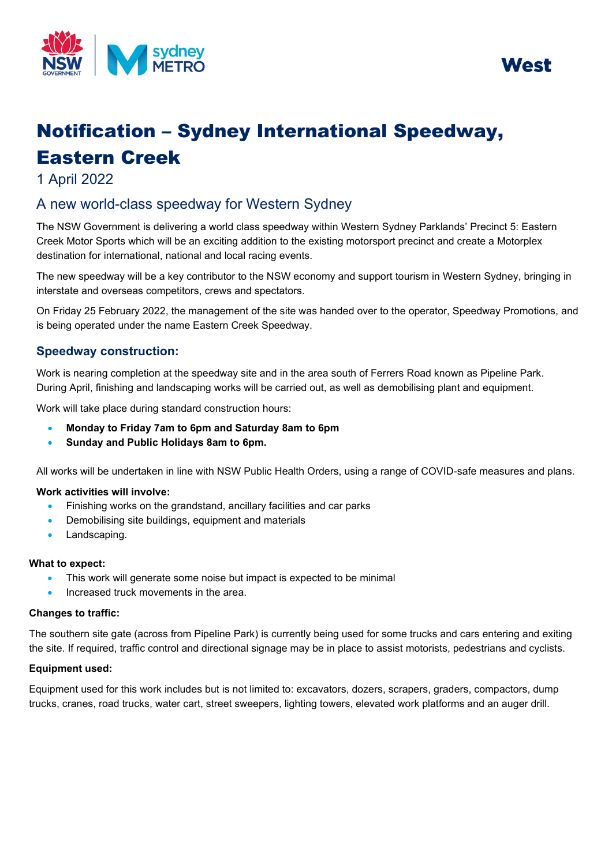



# Notification – Sydney International Speedway, Eastern Creek

1 April 2022

## A new world-class speedway for Western Sydney

 The NSW Government is delivering a world class speedway within Western Sydney Parklands' Precinct 5: Eastern Creek Motor Sports which will be an exciting addition to the existing motorsport precinct and create a Motorplex destination for international, national and local racing events.

interstate and overseas competitors, crews and spectators. The new speedway will be a key contributor to the NSW economy and support tourism in Western Sydney, bringing in

interstate and overseas competitors, crews and spectators.<br>On Friday 25 February 2022, the management of the site was handed over to the operator, Speedway Promotions, and is being operated under the name Eastern Creek Speedway.

### **Speedway construction:**

 During April, finishing and landscaping works will be carried out, as well as demobilising plant and equipment. Work is nearing completion at the speedway site and in the area south of Ferrers Road known as Pipeline Park.

Work will take place during standard construction hours:

- **Monday to Friday 7am to 6pm and Saturday 8am to 6pm**
- **Sunday and Public Holidays 8am to 6pm.**

All works will be undertaken in line with NSW Public Health Orders, using a range of COVID-safe measures and plans.

#### **Work activities will involve:**

- Finishing works on the grandstand, ancillary facilities and car parks
- Demobilising site buildings, equipment and materials
- Landscaping.

#### **What to expect:**

- This work will generate some noise but impact is expected to be minimal
- Increased truck movements in the area.

#### **Changes to traffic:**

 The southern site gate (across from Pipeline Park) is currently being used for some trucks and cars entering and exiting the site. If required, traffic control and directional signage may be in place to assist motorists, pedestrians and cyclists.

#### **Equipment used:**

 trucks, cranes, road trucks, water cart, street sweepers, lighting towers, elevated work platforms and an auger drill. Equipment used for this work includes but is not limited to: excavators, dozers, scrapers, graders, compactors, dump